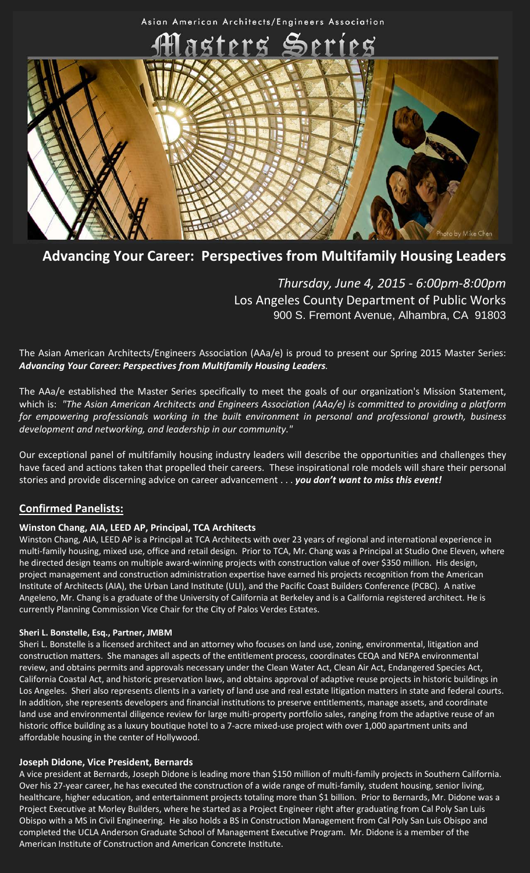

# **Advancing Your Career: Perspectives from Multifamily Housing Leaders**

*Thursday, June 4, 2015 - 6:00pm-8:00pm* Los Angeles County Department of Public Works 900 S. Fremont Avenue, Alhambra, CA 91803

The Asian American Architects/Engineers Association (AAa/e) is proud to present our Spring 2015 Master Series: *Advancing Your Career: Perspectives from Multifamily Housing Leaders.*

The AAa/e established the Master Series specifically to meet the goals of our organization's Mission Statement, which is: *"The Asian American Architects and Engineers Association (AAa/e) is committed to providing a platform for empowering professionals working in the built environment in personal and professional growth, business development and networking, and leadership in our community."*

Our exceptional panel of multifamily housing industry leaders will describe the opportunities and challenges they have faced and actions taken that propelled their careers. These inspirational role models will share their personal stories and provide discerning advice on career advancement . . . *you don't want to miss this event!*

# **Confirmed Panelists:**

#### **Winston Chang, AIA, LEED AP, Principal, TCA Architects**

Winston Chang, AIA, LEED AP is a Principal at TCA Architects with over 23 years of regional and international experience in multi-family housing, mixed use, office and retail design. Prior to TCA, Mr. Chang was a Principal at Studio One Eleven, where he directed design teams on multiple award-winning projects with construction value of over \$350 million. His design, project management and construction administration expertise have earned his projects recognition from the American Institute of Architects (AIA), the Urban Land Institute (ULI), and the Pacific Coast Builders Conference (PCBC). A native Angeleno, Mr. Chang is a graduate of the University of California at Berkeley and is a California registered architect. He is currently Planning Commission Vice Chair for the City of Palos Verdes Estates.

#### **Sheri L. Bonstelle, Esq., Partner, JMBM**

Sheri L. Bonstelle is a licensed architect and an attorney who focuses on land use, zoning, environmental, litigation and construction matters. She manages all aspects of the entitlement process, coordinates CEQA and NEPA environmental review, and obtains permits and approvals necessary under the Clean Water Act, Clean Air Act, Endangered Species Act, California Coastal Act, and historic preservation laws, and obtains approval of adaptive reuse projects in historic buildings in Los Angeles. Sheri also represents clients in a variety of land use and real estate litigation matters in state and federal courts. In addition, she represents developers and financial institutions to preserve entitlements, manage assets, and coordinate land use and environmental diligence review for large multi-property portfolio sales, ranging from the adaptive reuse of an historic office building as a luxury boutique hotel to a 7-acre mixed-use project with over 1,000 apartment units and affordable housing in the center of Hollywood.

#### **Joseph Didone, Vice President, Bernards**

A vice president at Bernards, Joseph Didone is leading more than \$150 million of multi-family projects in Southern California. Over his 27-year career, he has executed the construction of a wide range of multi-family, student housing, senior living, healthcare, higher education, and entertainment projects totaling more than \$1 billion. Prior to Bernards, Mr. Didone was a Project Executive at Morley Builders, where he started as a Project Engineer right after graduating from Cal Poly San Luis Obispo with a MS in Civil Engineering. He also holds a BS in Construction Management from Cal Poly San Luis Obispo and completed the UCLA Anderson Graduate School of Management Executive Program. Mr. Didone is a member of the American Institute of Construction and American Concrete Institute.